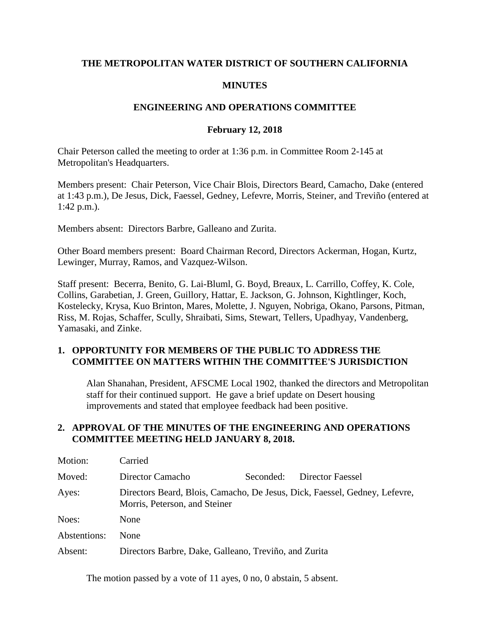### **THE METROPOLITAN WATER DISTRICT OF SOUTHERN CALIFORNIA**

#### **MINUTES**

#### **ENGINEERING AND OPERATIONS COMMITTEE**

#### **February 12, 2018**

Chair Peterson called the meeting to order at 1:36 p.m. in Committee Room 2-145 at Metropolitan's Headquarters.

Members present: Chair Peterson, Vice Chair Blois, Directors Beard, Camacho, Dake (entered at 1:43 p.m.), De Jesus, Dick, Faessel, Gedney, Lefevre, Morris, Steiner, and Treviño (entered at 1:42 p.m.).

Members absent: Directors Barbre, Galleano and Zurita.

Other Board members present: Board Chairman Record, Directors Ackerman, Hogan, Kurtz, Lewinger, Murray, Ramos, and Vazquez-Wilson.

Staff present: Becerra, Benito, G. Lai-Bluml, G. Boyd, Breaux, L. Carrillo, Coffey, K. Cole, Collins, Garabetian, J. Green, Guillory, Hattar, E. Jackson, G. Johnson, Kightlinger, Koch, Kostelecky, Krysa, Kuo Brinton, Mares, Molette, J. Nguyen, Nobriga, Okano, Parsons, Pitman, Riss, M. Rojas, Schaffer, Scully, Shraibati, Sims, Stewart, Tellers, Upadhyay, Vandenberg, Yamasaki, and Zinke.

#### **1. OPPORTUNITY FOR MEMBERS OF THE PUBLIC TO ADDRESS THE COMMITTEE ON MATTERS WITHIN THE COMMITTEE'S JURISDICTION**

Alan Shanahan, President, AFSCME Local 1902, thanked the directors and Metropolitan staff for their continued support. He gave a brief update on Desert housing improvements and stated that employee feedback had been positive.

#### **2. APPROVAL OF THE MINUTES OF THE ENGINEERING AND OPERATIONS COMMITTEE MEETING HELD JANUARY 8, 2018.**

| Motion:      | Carried                                                                                                     |           |                  |  |
|--------------|-------------------------------------------------------------------------------------------------------------|-----------|------------------|--|
| Moved:       | Director Camacho                                                                                            | Seconded: | Director Faessel |  |
| Ayes:        | Directors Beard, Blois, Camacho, De Jesus, Dick, Faessel, Gedney, Lefevre,<br>Morris, Peterson, and Steiner |           |                  |  |
| Noes:        | None                                                                                                        |           |                  |  |
| Abstentions: | None                                                                                                        |           |                  |  |
| Absent:      | Directors Barbre, Dake, Galleano, Treviño, and Zurita                                                       |           |                  |  |

The motion passed by a vote of 11 ayes, 0 no, 0 abstain, 5 absent.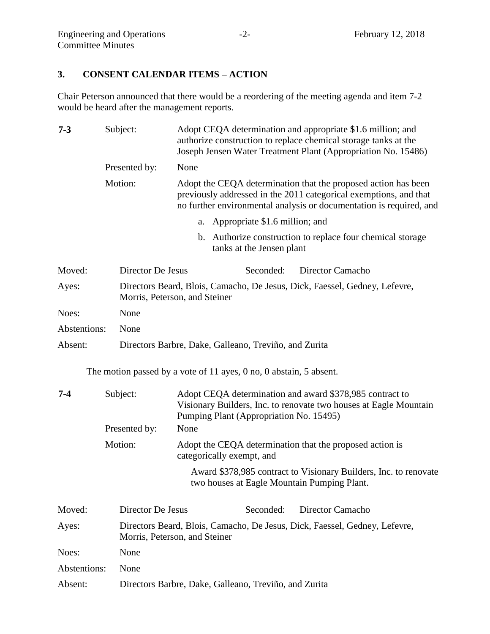# **3. CONSENT CALENDAR ITEMS – ACTION**

Chair Peterson announced that there would be a reordering of the meeting agenda and item 7-2 would be heard after the management reports.

| $7 - 3$      |  | Subject:<br>Adopt CEQA determination and appropriate \$1.6 million; and<br>authorize construction to replace chemical storage tanks at the<br>Joseph Jensen Water Treatment Plant (Appropriation No. 15486) |      |                                                                          |  |                                                                                                                                                                                                            |
|--------------|--|-------------------------------------------------------------------------------------------------------------------------------------------------------------------------------------------------------------|------|--------------------------------------------------------------------------|--|------------------------------------------------------------------------------------------------------------------------------------------------------------------------------------------------------------|
|              |  | Presented by:                                                                                                                                                                                               | None |                                                                          |  |                                                                                                                                                                                                            |
|              |  | Motion:                                                                                                                                                                                                     |      |                                                                          |  | Adopt the CEQA determination that the proposed action has been<br>previously addressed in the 2011 categorical exemptions, and that<br>no further environmental analysis or documentation is required, and |
|              |  |                                                                                                                                                                                                             | a.   | Appropriate \$1.6 million; and                                           |  |                                                                                                                                                                                                            |
|              |  |                                                                                                                                                                                                             | b.   | tanks at the Jensen plant                                                |  | Authorize construction to replace four chemical storage                                                                                                                                                    |
| Moved:       |  | Director De Jesus                                                                                                                                                                                           |      | Seconded:                                                                |  | Director Camacho                                                                                                                                                                                           |
| Ayes:        |  | Directors Beard, Blois, Camacho, De Jesus, Dick, Faessel, Gedney, Lefevre,<br>Morris, Peterson, and Steiner                                                                                                 |      |                                                                          |  |                                                                                                                                                                                                            |
| Noes:        |  | None                                                                                                                                                                                                        |      |                                                                          |  |                                                                                                                                                                                                            |
| Abstentions: |  | None                                                                                                                                                                                                        |      |                                                                          |  |                                                                                                                                                                                                            |
| Absent:      |  |                                                                                                                                                                                                             |      | Directors Barbre, Dake, Galleano, Treviño, and Zurita                    |  |                                                                                                                                                                                                            |
|              |  |                                                                                                                                                                                                             |      | The motion passed by a vote of 11 ayes, $0$ no, $0$ abstain, $5$ absent. |  |                                                                                                                                                                                                            |
| $7-4$        |  | Subject:                                                                                                                                                                                                    |      | Pumping Plant (Appropriation No. 15495)                                  |  | Adopt CEQA determination and award \$378,985 contract to<br>Visionary Builders, Inc. to renovate two houses at Eagle Mountain                                                                              |
|              |  | Presented by:                                                                                                                                                                                               | None |                                                                          |  |                                                                                                                                                                                                            |
|              |  | Motion:                                                                                                                                                                                                     |      | categorically exempt, and                                                |  | Adopt the CEQA determination that the proposed action is                                                                                                                                                   |
|              |  |                                                                                                                                                                                                             |      |                                                                          |  | Award \$378,985 contract to Visionary Builders, Inc. to renovate<br>two houses at Eagle Mountain Pumping Plant.                                                                                            |
| Moved:       |  | Director De Jesus                                                                                                                                                                                           |      | Seconded:                                                                |  | Director Camacho                                                                                                                                                                                           |
| Ayes:        |  | Directors Beard, Blois, Camacho, De Jesus, Dick, Faessel, Gedney, Lefevre,<br>Morris, Peterson, and Steiner                                                                                                 |      |                                                                          |  |                                                                                                                                                                                                            |
| Noes:        |  | None                                                                                                                                                                                                        |      |                                                                          |  |                                                                                                                                                                                                            |
| Abstentions: |  | None                                                                                                                                                                                                        |      |                                                                          |  |                                                                                                                                                                                                            |
| Absent:      |  | Directors Barbre, Dake, Galleano, Treviño, and Zurita                                                                                                                                                       |      |                                                                          |  |                                                                                                                                                                                                            |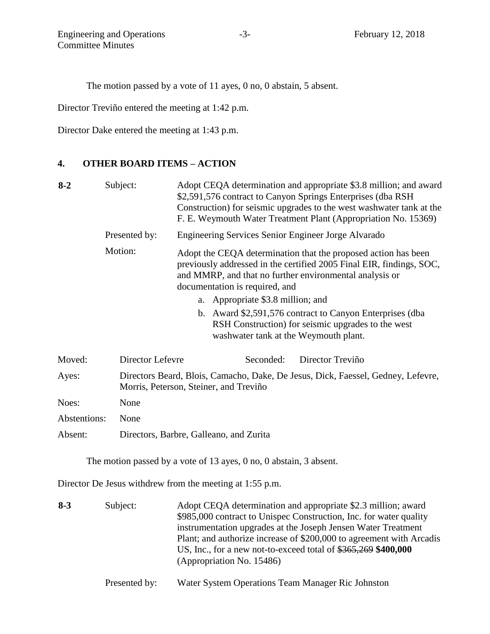The motion passed by a vote of 11 ayes, 0 no, 0 abstain, 5 absent.

Director Treviño entered the meeting at 1:42 p.m.

Director Dake entered the meeting at 1:43 p.m.

#### **4. OTHER BOARD ITEMS – ACTION**

| Subject:<br>$8 - 2$ |                  | Adopt CEQA determination and appropriate \$3.8 million; and award<br>\$2,591,576 contract to Canyon Springs Enterprises (dba RSH<br>Construction) for seismic upgrades to the west washwater tank at the<br>F. E. Weymouth Water Treatment Plant (Appropriation No. 15369) |  |  |
|---------------------|------------------|----------------------------------------------------------------------------------------------------------------------------------------------------------------------------------------------------------------------------------------------------------------------------|--|--|
|                     | Presented by:    | Engineering Services Senior Engineer Jorge Alvarado                                                                                                                                                                                                                        |  |  |
|                     | Motion:          | Adopt the CEQA determination that the proposed action has been<br>previously addressed in the certified 2005 Final EIR, findings, SOC,<br>and MMRP, and that no further environmental analysis or<br>documentation is required, and                                        |  |  |
|                     |                  | a. Appropriate \$3.8 million; and                                                                                                                                                                                                                                          |  |  |
|                     |                  | b. Award \$2,591,576 contract to Canyon Enterprises (dba<br>RSH Construction) for seismic upgrades to the west<br>washwater tank at the Weymouth plant.                                                                                                                    |  |  |
| Moved:              | Director Lefevre | Director Treviño<br>Seconded:                                                                                                                                                                                                                                              |  |  |
| Ayes:               |                  | Directors Beard, Blois, Camacho, Dake, De Jesus, Dick, Faessel, Gedney, Lefevre,<br>Morris, Peterson, Steiner, and Treviño                                                                                                                                                 |  |  |
| Noes:               | None             |                                                                                                                                                                                                                                                                            |  |  |
| Abstentions:        | None             |                                                                                                                                                                                                                                                                            |  |  |
| Absent:             |                  | Directors, Barbre, Galleano, and Zurita                                                                                                                                                                                                                                    |  |  |
|                     |                  |                                                                                                                                                                                                                                                                            |  |  |

The motion passed by a vote of 13 ayes, 0 no, 0 abstain, 3 absent.

Director De Jesus withdrew from the meeting at 1:55 p.m.

**8-3** Subject: Adopt CEQA determination and appropriate \$2.3 million; award \$985,000 contract to Unispec Construction, Inc. for water quality instrumentation upgrades at the Joseph Jensen Water Treatment Plant; and authorize increase of \$200,000 to agreement with Arcadis US, Inc., for a new not-to-exceed total of \$365,269 **\$400,000** (Appropriation No. 15486)

Presented by: Water System Operations Team Manager Ric Johnston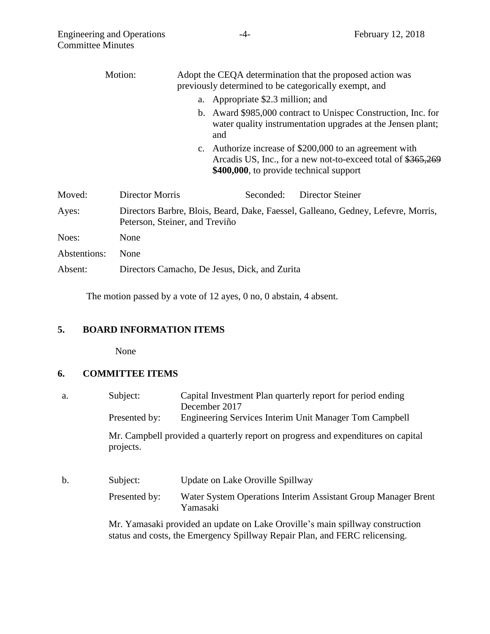|              | Motion:         | Adopt the CEQA determination that the proposed action was<br>previously determined to be categorically exempt, and                                                 |
|--------------|-----------------|--------------------------------------------------------------------------------------------------------------------------------------------------------------------|
|              |                 | a. Appropriate \$2.3 million; and                                                                                                                                  |
|              |                 | b. Award \$985,000 contract to Unispec Construction, Inc. for<br>water quality instrumentation upgrades at the Jensen plant;<br>and                                |
|              |                 | c. Authorize increase of \$200,000 to an agreement with<br>Arcadis US, Inc., for a new not-to-exceed total of \$365,269<br>\$400,000, to provide technical support |
| Moved:       | Director Morris | <b>Director Steiner</b><br>Seconded:                                                                                                                               |
| Ayes:        |                 | Directors Barbre, Blois, Beard, Dake, Faessel, Galleano, Gedney, Lefevre, Morris,<br>Peterson, Steiner, and Treviño                                                |
| Noes:        | None            |                                                                                                                                                                    |
| Abstentions: | None            |                                                                                                                                                                    |
| Absent:      |                 | Directors Camacho, De Jesus, Dick, and Zurita                                                                                                                      |
|              |                 |                                                                                                                                                                    |

The motion passed by a vote of 12 ayes, 0 no, 0 abstain, 4 absent.

# **5. BOARD INFORMATION ITEMS**

None

# **6. COMMITTEE ITEMS**

- a. Subject: Capital Investment Plan quarterly report for period ending December 2017 Presented by: Engineering Services Interim Unit Manager Tom Campbell Mr. Campbell provided a quarterly report on progress and expenditures on capital projects. b. Subject: Update on Lake Oroville Spillway
	- Presented by: Water System Operations Interim Assistant Group Manager Brent Yamasaki

Mr. Yamasaki provided an update on Lake Oroville's main spillway construction status and costs, the Emergency Spillway Repair Plan, and FERC relicensing.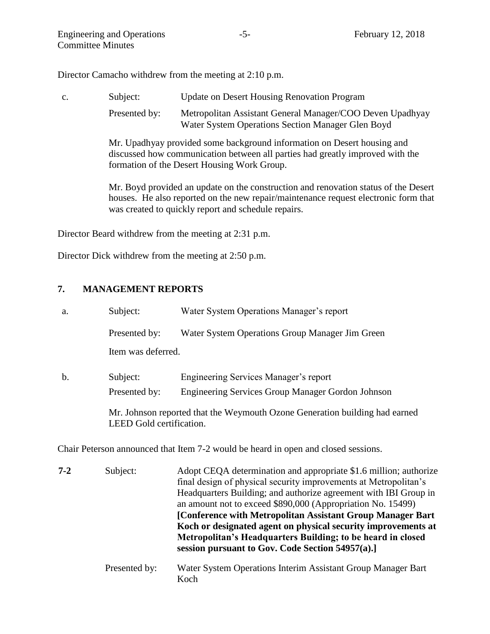Director Camacho withdrew from the meeting at 2:10 p.m.

c. Subject: Update on Desert Housing Renovation Program Presented by: Metropolitan Assistant General Manager/COO Deven Upadhyay Water System Operations Section Manager Glen Boyd Mr. Upadhyay provided some background information on Desert housing and discussed how communication between all parties had greatly improved with the formation of the Desert Housing Work Group. Mr. Boyd provided an update on the construction and renovation status of the Desert houses. He also reported on the new repair/maintenance request electronic form that

Director Beard withdrew from the meeting at 2:31 p.m.

was created to quickly report and schedule repairs.

Director Dick withdrew from the meeting at 2:50 p.m.

#### **7. MANAGEMENT REPORTS**

| a.            | Subject:                 | Water System Operations Manager's report                                                                                                                                                                                                                                                                                                                                                                                                                                                                                    |
|---------------|--------------------------|-----------------------------------------------------------------------------------------------------------------------------------------------------------------------------------------------------------------------------------------------------------------------------------------------------------------------------------------------------------------------------------------------------------------------------------------------------------------------------------------------------------------------------|
|               | Presented by:            | Water System Operations Group Manager Jim Green                                                                                                                                                                                                                                                                                                                                                                                                                                                                             |
|               | Item was deferred.       |                                                                                                                                                                                                                                                                                                                                                                                                                                                                                                                             |
| $\mathbf b$ . | Subject:                 | Engineering Services Manager's report                                                                                                                                                                                                                                                                                                                                                                                                                                                                                       |
|               | Presented by:            | Engineering Services Group Manager Gordon Johnson                                                                                                                                                                                                                                                                                                                                                                                                                                                                           |
|               | LEED Gold certification. | Mr. Johnson reported that the Weymouth Ozone Generation building had earned                                                                                                                                                                                                                                                                                                                                                                                                                                                 |
|               |                          | Chair Peterson announced that Item 7-2 would be heard in open and closed sessions.                                                                                                                                                                                                                                                                                                                                                                                                                                          |
| $7 - 2$       | Subject:                 | Adopt CEQA determination and appropriate \$1.6 million; authorize<br>final design of physical security improvements at Metropolitan's<br>Headquarters Building; and authorize agreement with IBI Group in<br>an amount not to exceed \$890,000 (Appropriation No. 15499)<br>[Conference with Metropolitan Assistant Group Manager Bart]<br>Koch or designated agent on physical security improvements at<br>Metropolitan's Headquarters Building; to be heard in closed<br>session pursuant to Gov. Code Section 54957(a).] |
|               | Presented by:            | Water System Operations Interim Assistant Group Manager Bart<br>Koch                                                                                                                                                                                                                                                                                                                                                                                                                                                        |